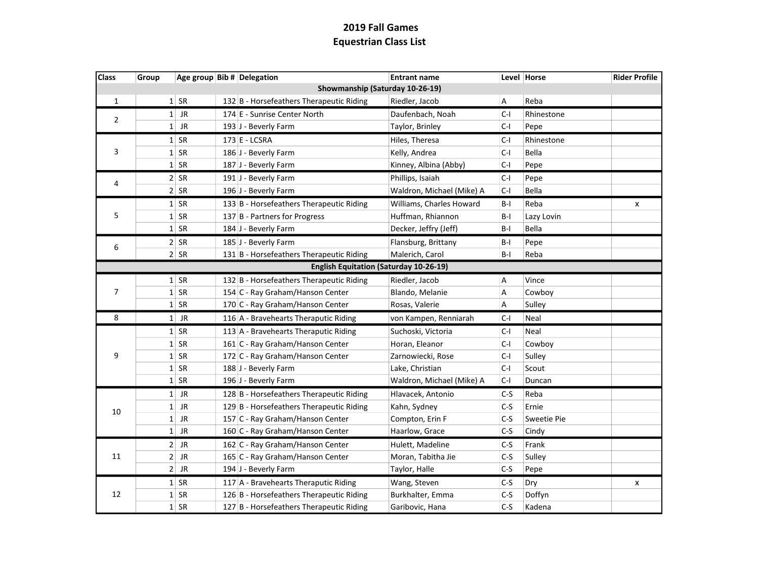| <b>Class</b>   | Group                           |        |  | Age group Bib # Delegation                    | <b>Entrant name</b>       |                           | Level Horse | <b>Rider Profile</b> |  |
|----------------|---------------------------------|--------|--|-----------------------------------------------|---------------------------|---------------------------|-------------|----------------------|--|
|                | Showmanship (Saturday 10-26-19) |        |  |                                               |                           |                           |             |                      |  |
| $\mathbf{1}$   |                                 | $1$ SR |  | 132 B - Horsefeathers Therapeutic Riding      | Riedler, Jacob            | $\boldsymbol{\mathsf{A}}$ | Reba        |                      |  |
| $\overline{2}$ |                                 | $1$ JR |  | 174 E - Sunrise Center North                  | Daufenbach, Noah          | $C-I$                     | Rhinestone  |                      |  |
|                |                                 | $1$ JR |  | 193 J - Beverly Farm                          | Taylor, Brinley           | $C-I$                     | Pepe        |                      |  |
|                |                                 | $1$ SR |  | 173 E - LCSRA                                 | Hiles, Theresa            | C-I                       | Rhinestone  |                      |  |
| 3              |                                 | $1$ SR |  | 186 J - Beverly Farm                          | Kelly, Andrea             | $C-I$                     | Bella       |                      |  |
|                |                                 | $1$ SR |  | 187 J - Beverly Farm                          | Kinney, Albina (Abby)     | $C-I$                     | Pepe        |                      |  |
|                |                                 | $2$ SR |  | 191 J - Beverly Farm                          | Phillips, Isaiah          | C-I                       | Pepe        |                      |  |
| 4              |                                 | $2$ SR |  | 196 J - Beverly Farm                          | Waldron, Michael (Mike) A | $C-I$                     | Bella       |                      |  |
|                |                                 | $1$ SR |  | 133 B - Horsefeathers Therapeutic Riding      | Williams, Charles Howard  | $B-I$                     | Reba        | x                    |  |
| 5              |                                 | $1$ SR |  | 137 B - Partners for Progress                 | Huffman, Rhiannon         | $B-I$                     | Lazy Lovin  |                      |  |
|                |                                 | $1$ SR |  | 184 J - Beverly Farm                          | Decker, Jeffry (Jeff)     | B-I                       | Bella       |                      |  |
|                |                                 | $2$ SR |  | 185 J - Beverly Farm                          | Flansburg, Brittany       | $B-I$                     | Pepe        |                      |  |
| 6              |                                 | $2$ SR |  | 131 B - Horsefeathers Therapeutic Riding      | Malerich, Carol           | $B-I$                     | Reba        |                      |  |
|                |                                 |        |  | <b>English Equitation (Saturday 10-26-19)</b> |                           |                           |             |                      |  |
|                |                                 | $1$ SR |  | 132 B - Horsefeathers Therapeutic Riding      | Riedler, Jacob            | A                         | Vince       |                      |  |
| $\overline{7}$ |                                 | $1$ SR |  | 154 C - Ray Graham/Hanson Center              | Blando, Melanie           | Α                         | Cowboy      |                      |  |
|                |                                 | $1$ SR |  | 170 C - Ray Graham/Hanson Center              | Rosas, Valerie            | А                         | Sulley      |                      |  |
| 8              |                                 | $1$ JR |  | 116 A - Bravehearts Theraputic Riding         | von Kampen, Renniarah     | $C-I$                     | Neal        |                      |  |
|                |                                 | $1$ SR |  | 113 A - Bravehearts Theraputic Riding         | Suchoski, Victoria        | C-I                       | Neal        |                      |  |
|                |                                 | $1$ SR |  | 161 C - Ray Graham/Hanson Center              | Horan, Eleanor            | C-I                       | Cowboy      |                      |  |
| 9              |                                 | $1$ SR |  | 172 C - Ray Graham/Hanson Center              | Zarnowiecki, Rose         | C-I                       | Sulley      |                      |  |
|                |                                 | $1$ SR |  | 188 J - Beverly Farm                          | Lake, Christian           | $C-I$                     | Scout       |                      |  |
|                |                                 | $1$ SR |  | 196 J - Beverly Farm                          | Waldron, Michael (Mike) A | $C-I$                     | Duncan      |                      |  |
|                |                                 | $1$ JR |  | 128 B - Horsefeathers Therapeutic Riding      | Hlavacek, Antonio         | $C-S$                     | Reba        |                      |  |
| 10             |                                 | $1$ JR |  | 129 B - Horsefeathers Therapeutic Riding      | Kahn, Sydney              | $C-S$                     | Ernie       |                      |  |
|                |                                 | $1$ JR |  | 157 C - Ray Graham/Hanson Center              | Compton, Erin F           | $C-S$                     | Sweetie Pie |                      |  |
|                |                                 | $1$ JR |  | 160 C - Ray Graham/Hanson Center              | Haarlow, Grace            | $C-S$                     | Cindy       |                      |  |
|                |                                 | $2$ JR |  | 162 C - Ray Graham/Hanson Center              | Hulett, Madeline          | $C-S$                     | Frank       |                      |  |
| 11             | $\overline{2}$                  | JR     |  | 165 C - Ray Graham/Hanson Center              | Moran, Tabitha Jie        | $C-S$                     | Sulley      |                      |  |
|                |                                 | $2$ JR |  | 194 J - Beverly Farm                          | Taylor, Halle             | $C-S$                     | Pepe        |                      |  |
|                |                                 | $1$ SR |  | 117 A - Bravehearts Theraputic Riding         | Wang, Steven              | $C-S$                     | Dry         | x                    |  |
| 12             |                                 | $1$ SR |  | 126 B - Horsefeathers Therapeutic Riding      | Burkhalter, Emma          | $C-S$                     | Doffyn      |                      |  |
|                |                                 | $1$ SR |  | 127 B - Horsefeathers Therapeutic Riding      | Garibovic, Hana           | $C-S$                     | Kadena      |                      |  |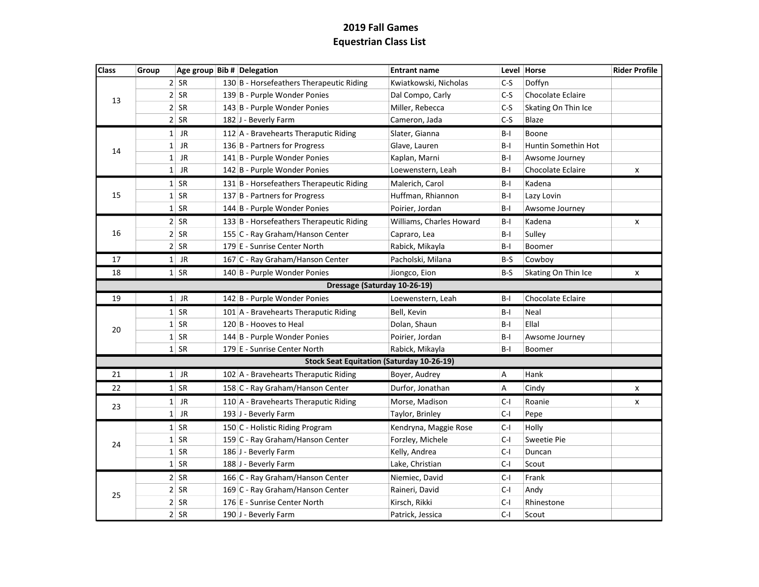| Class | Group        |           | Age group Bib # Delegation                       | <b>Entrant name</b>      |       | Level Horse              | <b>Rider Profile</b> |
|-------|--------------|-----------|--------------------------------------------------|--------------------------|-------|--------------------------|----------------------|
| 13    |              | $2$ SR    | 130 B - Horsefeathers Therapeutic Riding         | Kwiatkowski, Nicholas    | $C-S$ | Doffyn                   |                      |
|       |              | $2$ SR    | 139 B - Purple Wonder Ponies                     | Dal Compo, Carly         | $C-S$ | <b>Chocolate Eclaire</b> |                      |
|       |              | $2$ SR    | 143 B - Purple Wonder Ponies                     | Miller, Rebecca          | $C-S$ | Skating On Thin Ice      |                      |
|       |              | $2$ SR    | 182 J - Beverly Farm                             | Cameron, Jada            | $C-S$ | Blaze                    |                      |
|       |              | $1$ JR    | 112 A - Bravehearts Theraputic Riding            | Slater, Gianna           | B-I   | Boone                    |                      |
| 14    | 1            | <b>JR</b> | 136 B - Partners for Progress                    | Glave, Lauren            | $B-I$ | Huntin Somethin Hot      |                      |
|       | $\mathbf{1}$ | <b>JR</b> | 141 B - Purple Wonder Ponies                     | Kaplan, Marni            | $B-I$ | Awsome Journey           |                      |
|       | $1\vert$     | <b>JR</b> | 142 B - Purple Wonder Ponies                     | Loewenstern, Leah        | B-I   | Chocolate Eclaire        | x                    |
|       |              | $1$ SR    | 131 B - Horsefeathers Therapeutic Riding         | Malerich, Carol          | $B-I$ | Kadena                   |                      |
| 15    |              | $1$ SR    | 137 B - Partners for Progress                    | Huffman, Rhiannon        | $B-I$ | Lazy Lovin               |                      |
|       |              | $1$ SR    | 144 B - Purple Wonder Ponies                     | Poirier, Jordan          | $B-I$ | Awsome Journey           |                      |
|       |              | $2$ SR    | 133 B - Horsefeathers Therapeutic Riding         | Williams, Charles Howard | B-I   | Kadena                   | x                    |
| 16    |              | $2$ SR    | 155 C - Ray Graham/Hanson Center                 | Capraro, Lea             | B-I   | Sulley                   |                      |
|       |              | $2$ SR    | 179 E - Sunrise Center North                     | Rabick, Mikayla          | $B-I$ | Boomer                   |                      |
| 17    |              | $1$ JR    | 167 C - Ray Graham/Hanson Center                 | Pacholski, Milana        | B-S   | Cowboy                   |                      |
| 18    |              | $1$ SR    | 140 B - Purple Wonder Ponies                     | Jiongco, Eion            | B-S   | Skating On Thin Ice      | x                    |
|       |              |           | Dressage (Saturday 10-26-19)                     |                          |       |                          |                      |
| 19    |              | $1$ JR    | 142 B - Purple Wonder Ponies                     | Loewenstern, Leah        | $B-I$ | <b>Chocolate Eclaire</b> |                      |
|       |              | $1$ SR    | 101 A - Bravehearts Theraputic Riding            | Bell, Kevin              | $B-I$ | Neal                     |                      |
| 20    |              | $1$ SR    | 120 B - Hooves to Heal                           | Dolan, Shaun             | $B-I$ | Ellal                    |                      |
|       |              | $1$ SR    | 144 B - Purple Wonder Ponies                     | Poirier, Jordan          | B-I   | Awsome Journey           |                      |
|       |              | $1$ SR    | 179 E - Sunrise Center North                     | Rabick, Mikayla          | B-I   | Boomer                   |                      |
|       |              |           | <b>Stock Seat Equitation (Saturday 10-26-19)</b> |                          |       |                          |                      |
| 21    |              | $1$ JR    | 102 A - Bravehearts Theraputic Riding            | Boyer, Audrey            | А     | Hank                     |                      |
| 22    |              | $1$ SR    | 158 C - Ray Graham/Hanson Center                 | Durfor, Jonathan         | А     | Cindy                    | x                    |
| 23    |              | $1$ JR    | 110 A - Bravehearts Theraputic Riding            | Morse, Madison           | $C-I$ | Roanie                   | x                    |
|       | $1\vert$     | <b>JR</b> | 193 J - Beverly Farm                             | Taylor, Brinley          | $C-I$ | Pepe                     |                      |
|       |              | $1$ SR    | 150 C - Holistic Riding Program                  | Kendryna, Maggie Rose    | C-I   | Holly                    |                      |
|       |              | $1$ SR    | 159 C - Ray Graham/Hanson Center                 | Forzley, Michele         | $C-I$ | Sweetie Pie              |                      |
| 24    |              | $1$ SR    | 186 J - Beverly Farm                             | Kelly, Andrea            | $C-I$ | Duncan                   |                      |
|       |              | $1$ SR    | 188 J - Beverly Farm                             | Lake, Christian          | $C-I$ | Scout                    |                      |
|       |              | $2$ SR    | 166 C - Ray Graham/Hanson Center                 | Niemiec, David           | $C-I$ | Frank                    |                      |
| 25    |              | $2$ SR    | 169 C - Ray Graham/Hanson Center                 | Raineri, David           | $C-I$ | Andy                     |                      |
|       |              | $2$ SR    | 176 E - Sunrise Center North                     | Kirsch, Rikki            | $C-I$ | Rhinestone               |                      |
|       |              | $2$ SR    | 190 J - Beverly Farm                             | Patrick, Jessica         | $C-I$ | Scout                    |                      |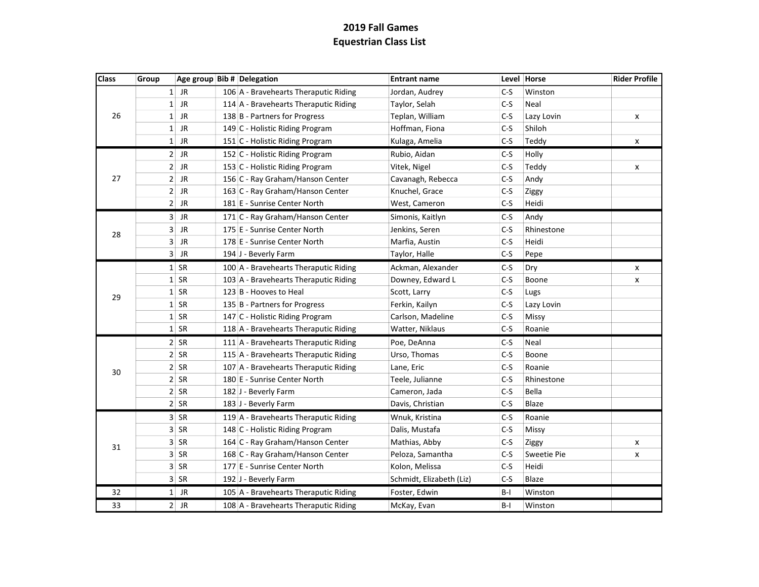| <b>Class</b> | Group          |           | Age group Bib # Delegation            | <b>Entrant name</b>      |       | Level Horse  | <b>Rider Profile</b> |
|--------------|----------------|-----------|---------------------------------------|--------------------------|-------|--------------|----------------------|
| 26           |                | $1$ JR    | 106 A - Bravehearts Theraputic Riding | Jordan, Audrey           | $C-S$ | Winston      |                      |
|              |                | $1$ JR    | 114 A - Bravehearts Theraputic Riding | Taylor, Selah            | $C-S$ | Neal         |                      |
|              |                | $1$ JR    | 138 B - Partners for Progress         | Teplan, William          | $C-S$ | Lazy Lovin   | x                    |
|              |                | $1$ JR    | 149 C - Holistic Riding Program       | Hoffman, Fiona           | $C-S$ | Shiloh       |                      |
|              |                | $1$ JR    | 151 C - Holistic Riding Program       | Kulaga, Amelia           | $C-S$ | Teddy        | x                    |
|              |                | $2$ JR    | 152 C - Holistic Riding Program       | Rubio, Aidan             | $C-S$ | Holly        |                      |
|              | $\overline{2}$ | <b>JR</b> | 153 C - Holistic Riding Program       | Vitek, Nigel             | $C-S$ | Teddy        | x                    |
| 27           | 2 <sup>1</sup> | <b>JR</b> | 156 C - Ray Graham/Hanson Center      | Cavanagh, Rebecca        | $C-S$ | Andy         |                      |
|              | 2 <sup>1</sup> | <b>JR</b> | 163 C - Ray Graham/Hanson Center      | Knuchel, Grace           | C-S   | Ziggy        |                      |
|              |                | $2$ JR    | 181 E - Sunrise Center North          | West, Cameron            | C-S   | Heidi        |                      |
|              |                | $3$ JR    | 171 C - Ray Graham/Hanson Center      | Simonis, Kaitlyn         | C-S   | Andy         |                      |
| 28           | 3 <sup>1</sup> | JR        | 175 E - Sunrise Center North          | Jenkins, Seren           | $C-S$ | Rhinestone   |                      |
|              | $\overline{3}$ | <b>JR</b> | 178 E - Sunrise Center North          | Marfia, Austin           | $C-S$ | Heidi        |                      |
|              | 3 <sup>1</sup> | JR        | 194 J - Beverly Farm                  | Taylor, Halle            | $C-S$ | Pepe         |                      |
|              |                | $1$ SR    | 100 A - Bravehearts Theraputic Riding | Ackman, Alexander        | $C-S$ | Dry          | x                    |
|              |                | $1$ SR    | 103 A - Bravehearts Theraputic Riding | Downey, Edward L         | $C-S$ | Boone        | X                    |
| 29           |                | $1$ SR    | 123 B - Hooves to Heal                | Scott, Larry             | $C-S$ | Lugs         |                      |
|              |                | $1$ SR    | 135 B - Partners for Progress         | Ferkin, Kailyn           | $C-S$ | Lazy Lovin   |                      |
|              |                | $1$ SR    | 147 C - Holistic Riding Program       | Carlson, Madeline        | $C-S$ | Missy        |                      |
|              |                | $1$ SR    | 118 A - Bravehearts Theraputic Riding | Watter, Niklaus          | $C-S$ | Roanie       |                      |
|              |                | $2$ SR    | 111 A - Bravehearts Theraputic Riding | Poe, DeAnna              | $C-S$ | Neal         |                      |
|              |                | $2$ SR    | 115 A - Bravehearts Theraputic Riding | Urso, Thomas             | $C-S$ | Boone        |                      |
| 30           |                | $2$ SR    | 107 A - Bravehearts Theraputic Riding | Lane, Eric               | $C-S$ | Roanie       |                      |
|              |                | $2$ SR    | 180 E - Sunrise Center North          | Teele, Julianne          | $C-S$ | Rhinestone   |                      |
|              |                | $2$ SR    | 182 J - Beverly Farm                  | Cameron, Jada            | $C-S$ | Bella        |                      |
|              |                | $2$ SR    | 183 J - Beverly Farm                  | Davis, Christian         | $C-S$ | Blaze        |                      |
|              |                | $3$ SR    | 119 A - Bravehearts Theraputic Riding | Wnuk, Kristina           | $C-S$ | Roanie       |                      |
|              |                | 3 SR      | 148 C - Holistic Riding Program       | Dalis, Mustafa           | $C-S$ | <b>Missy</b> |                      |
|              |                | $3$ SR    | 164 C - Ray Graham/Hanson Center      | Mathias, Abby            | $C-S$ | Ziggy        | x                    |
| 31           |                | $3$ SR    | 168 C - Ray Graham/Hanson Center      | Peloza, Samantha         | $C-S$ | Sweetie Pie  | x                    |
|              |                | 3 SR      | 177 E - Sunrise Center North          | Kolon, Melissa           | $C-S$ | Heidi        |                      |
|              |                | 3 SR      | 192 J - Beverly Farm                  | Schmidt, Elizabeth (Liz) | $C-S$ | Blaze        |                      |
| 32           |                | $1$ JR    | 105 A - Bravehearts Theraputic Riding | Foster, Edwin            | $B-I$ | Winston      |                      |
| 33           |                | $2$ JR    | 108 A - Bravehearts Theraputic Riding | McKay, Evan              | $B-I$ | Winston      |                      |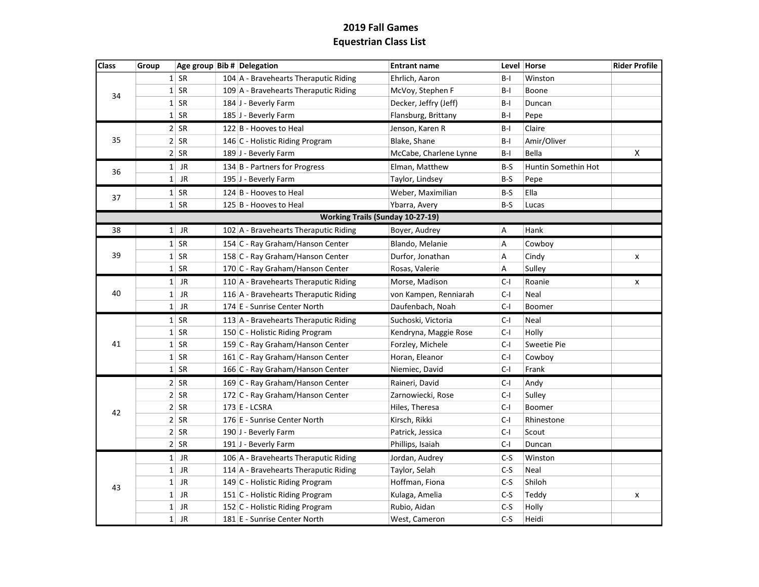| <b>Class</b> | Group        | Age group Bib # Delegation |                                         | <b>Entrant name</b>    |       | Level Horse         | <b>Rider Profile</b> |
|--------------|--------------|----------------------------|-----------------------------------------|------------------------|-------|---------------------|----------------------|
| 34           | $1\vert$     | SR                         | 104 A - Bravehearts Theraputic Riding   | Ehrlich, Aaron         | B-I   | Winston             |                      |
|              | $1\vert$     | <b>SR</b>                  | 109 A - Bravehearts Theraputic Riding   | McVoy, Stephen F       | B-I   | Boone               |                      |
|              | $1\vert$     | SR                         | 184 J - Beverly Farm                    | Decker, Jeffry (Jeff)  | B-I   | Duncan              |                      |
|              | $1\vert$     | SR                         | 185 J - Beverly Farm                    | Flansburg, Brittany    | B-I   | Pepe                |                      |
|              |              | $2$ SR                     | 122 B - Hooves to Heal                  | Jenson, Karen R        | B-I   | Claire              |                      |
| 35           |              | $2$ SR                     | 146 C - Holistic Riding Program         | Blake, Shane           | B-I   | Amir/Oliver         |                      |
|              |              | $2$ SR                     | 189 J - Beverly Farm                    | McCabe, Charlene Lynne | B-I   | Bella               | X                    |
| 36           |              | $1$ JR                     | 134 B - Partners for Progress           | Elman, Matthew         | B-S   | Huntin Somethin Hot |                      |
|              | $1\vert$     | JR                         | 195 J - Beverly Farm                    | Taylor, Lindsey        | B-S   | Pepe                |                      |
| 37           |              | $1$ SR                     | 124 B - Hooves to Heal                  | Weber, Maximilian      | B-S   | Ella                |                      |
|              |              | $1$ SR                     | 125 B - Hooves to Heal                  | Ybarra, Avery          | $B-S$ | Lucas               |                      |
|              |              |                            | <b>Working Trails (Sunday 10-27-19)</b> |                        |       |                     |                      |
| 38           |              | $1$ JR                     | 102 A - Bravehearts Theraputic Riding   | Boyer, Audrey          | А     | Hank                |                      |
|              |              | $1$ SR                     | 154 C - Ray Graham/Hanson Center        | Blando, Melanie        | А     | Cowboy              |                      |
| 39           |              | $1$ SR                     | 158 C - Ray Graham/Hanson Center        | Durfor, Jonathan       | A     | Cindy               | X                    |
|              |              | $1$ SR                     | 170 C - Ray Graham/Hanson Center        | Rosas, Valerie         | Α     | Sulley              |                      |
|              | $1\vert$     | JR                         | 110 A - Bravehearts Theraputic Riding   | Morse, Madison         | C-I   | Roanie              | x                    |
| 40           | $1\vert$     | <b>JR</b>                  | 116 A - Bravehearts Theraputic Riding   | von Kampen, Renniarah  | $C-I$ | Neal                |                      |
|              | $1\vert$     | JR                         | 174 E - Sunrise Center North            | Daufenbach, Noah       | $C-I$ | Boomer              |                      |
|              |              | $1$ SR                     | 113 A - Bravehearts Theraputic Riding   | Suchoski, Victoria     | $C-I$ | Neal                |                      |
|              |              | $1$ SR                     | 150 C - Holistic Riding Program         | Kendryna, Maggie Rose  | C-I   | Holly               |                      |
| 41           |              | $1$ SR                     | 159 C - Ray Graham/Hanson Center        | Forzley, Michele       | $C-I$ | Sweetie Pie         |                      |
|              |              | $1$ SR                     | 161 C - Ray Graham/Hanson Center        | Horan, Eleanor         | $C-I$ | Cowboy              |                      |
|              |              | $1$ SR                     | 166 C - Ray Graham/Hanson Center        | Niemiec, David         | $C-I$ | Frank               |                      |
|              |              | $2$ SR                     | 169 C - Ray Graham/Hanson Center        | Raineri, David         | $C-I$ | Andy                |                      |
|              |              | $2$ SR                     | 172 C - Ray Graham/Hanson Center        | Zarnowiecki, Rose      | $C-I$ | Sulley              |                      |
| 42           |              | $2$ SR                     | 173 E - LCSRA                           | Hiles, Theresa         | $C-I$ | Boomer              |                      |
|              |              | $2$ SR                     | 176 E - Sunrise Center North            | Kirsch, Rikki          | C-I   | Rhinestone          |                      |
|              |              | $2$ SR                     | 190 J - Beverly Farm                    | Patrick, Jessica       | C-I   | Scout               |                      |
|              |              | $2$ SR                     | 191 J - Beverly Farm                    | Phillips, Isaiah       | $C-I$ | Duncan              |                      |
|              |              | $1$ JR                     | 106 A - Bravehearts Theraputic Riding   | Jordan, Audrey         | C-S   | Winston             |                      |
| 43           | $\mathbf{1}$ | <b>JR</b>                  | 114 A - Bravehearts Theraputic Riding   | Taylor, Selah          | $C-S$ | Neal                |                      |
|              | $1\vert$     | JR                         | 149 C - Holistic Riding Program         | Hoffman, Fiona         | $C-S$ | Shiloh              |                      |
|              | $1\vert$     | JR                         | 151 C - Holistic Riding Program         | Kulaga, Amelia         | $C-S$ | Teddy               | X                    |
|              | $\mathbf{1}$ | JR                         | 152 C - Holistic Riding Program         | Rubio, Aidan           | $C-S$ | Holly               |                      |
|              | $1\vert$     | JR                         | 181 E - Sunrise Center North            | West, Cameron          | $C-S$ | Heidi               |                      |